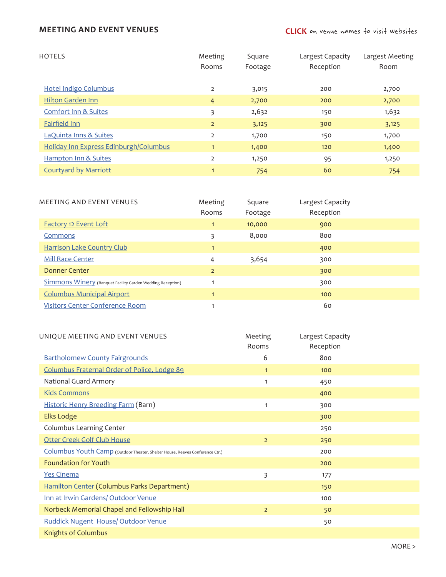## **MEETING AND EVENT VENUES**

| <b>HOTELS</b>                          | Meeting        | Square  | Largest Capacity | Largest Meeting |
|----------------------------------------|----------------|---------|------------------|-----------------|
|                                        | Rooms          | Footage | Reception        | Room            |
|                                        |                |         |                  |                 |
| <b>Hotel Indigo Columbus</b>           | $\overline{2}$ | 3,015   | 200              | 2,700           |
| <b>Hilton Garden Inn</b>               | $\overline{4}$ | 2,700   | 200              | 2,700           |
| <b>Comfort Inn &amp; Suites</b>        | 3              | 2,632   | 150              | 1,632           |
| <b>Fairfield Inn</b>                   | $\overline{2}$ | 3,125   | 300              | 3,125           |
| <b>LaQuinta Inns &amp; Suites</b>      | $\overline{2}$ | 1,700   | 150              | 1,700           |
| Holiday Inn Express Edinburgh/Columbus | $\mathbf{1}$   | 1,400   | 120              | 1,400           |
| <b>Hampton Inn &amp; Suites</b>        | $\overline{2}$ | 1,250   | 95               | 1,250           |
| <b>Courtyard by Marriott</b>           | $\overline{1}$ | 754     | 60               | 754             |

| <b>MEETING AND EVENT VENUES</b>                                   | Meeting<br>Rooms | Square<br>Footage | Largest Capacity<br>Reception |  |
|-------------------------------------------------------------------|------------------|-------------------|-------------------------------|--|
| <b>Factory 12 Event Loft</b>                                      | $\mathbf{1}$     | 10,000            | 900                           |  |
| Commons                                                           | 3                | 8,000             | 800                           |  |
| <b>Harrison Lake Country Club</b>                                 | $\mathbf{1}$     |                   | 400                           |  |
| <b>Mill Race Center</b>                                           | 4                | 3,654             | 300                           |  |
| Donner Center                                                     | $\overline{2}$   |                   | 300                           |  |
| <b>Simmons Winery</b> (Banquet Facility Garden Wedding Reception) |                  |                   | 300                           |  |
| <b>Columbus Municipal Airport</b>                                 | $\mathbf{1}$     |                   | 100                           |  |
| <b>Visitors Center Conference Room</b>                            |                  |                   | 60                            |  |

| UNIQUE MEETING AND EVENT VENUES                                              | Meeting        | Largest Capacity |  |
|------------------------------------------------------------------------------|----------------|------------------|--|
|                                                                              | Rooms          | Reception        |  |
| <b>Bartholomew County Fairgrounds</b>                                        | 6              | 800              |  |
| Columbus Fraternal Order of Police, Lodge 89                                 | $\mathbf{1}$   | 100              |  |
| National Guard Armory                                                        | $\mathbf{1}$   | 450              |  |
| <b>Kids Commons</b>                                                          |                | 400              |  |
| Historic Henry Breeding Farm (Barn)                                          | 1              | 300              |  |
| <b>Elks Lodge</b>                                                            |                | 300              |  |
| Columbus Learning Center                                                     |                | 250              |  |
| <b>Otter Creek Golf Club House</b>                                           | $\overline{2}$ | 250              |  |
| Columbus Youth Camp (Outdoor Theater, Shelter House, Reeves Conference Ctr.) |                | 200              |  |
| <b>Foundation for Youth</b>                                                  |                | 200              |  |
| <b>Yes Cinema</b>                                                            | 3              | 177              |  |
| Hamilton Center (Columbus Parks Department)                                  |                | 150              |  |
| Inn at Irwin Gardens/ Outdoor Venue                                          |                | 100              |  |
| Norbeck Memorial Chapel and Fellowship Hall                                  | $\overline{2}$ | 50               |  |
| Ruddick Nugent House/ Outdoor Venue                                          |                | 50               |  |
| <b>Knights of Columbus</b>                                                   |                |                  |  |